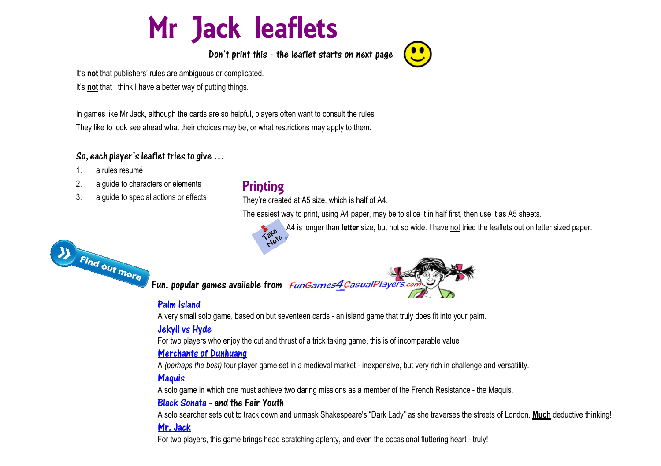# Mr Jack leaflets

Don't print this - the leaflet starts on next page



It's **not** that I think I have a better way of putting things.

In games like Mr Jack, although the cards are so helpful, players often want to consult the rules They like to look see ahead what their choices may be, or what restrictions may apply to them.

#### So, each player's leaflet tries to give…

- 1. a rules resumé
- 2. a guide to characters or elements
- 3. a guide to special actions or effects



# **Printing**

They're created at A5 size, which is half of A4.

The easiest way to print, using A4 paper, may be to slice it in half first, then use it as A5 sheets.

A4 is longer than **letter** size, but not so wide. I have not tried the leaflets out on letter sized paper.



# [Palm Island](https://fungames4casualplayers.com/palm-island)

A very small solo game, based on but seventeen cards - an island game that truly does fit into your palm.

# [Jekyll vs Hyde](https://fungames4casualplayers.com/jekyll-and-hyde)

For two players who enjoy the cut and thrust of a trick taking game, this is of incomparable value

#### [Merchants of Dunhuang](https://fungames4casualplayers.com/Dunhuang)

A *(perhaps the best)* four player game set in a medieval market - inexpensive, but very rich in challenge and versatility.

# **Maguis**

A solo game in which one must achieve two daring missions as a member of the French Resistance - the Maquis.

#### [Black Sonata](https://fungames4casualplayers.com/black-sonata) - and the Fair Youth

A solo searcher sets out to track down and unmask Shakespeare's "Dark Lady" as she traverses the streets of London. **Much** deductive thinking! [Mr. Jack](https://fungames4casualplayers.com/mrjack)

For two players, this game brings head scratching aplenty, and even the occasional fluttering heart - truly!

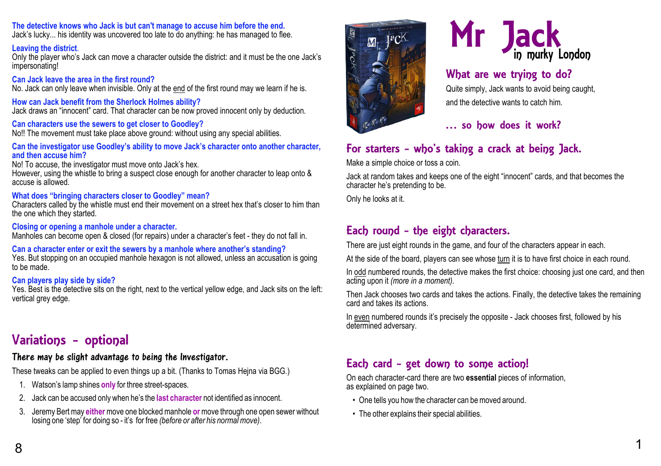#### **The detective knows who Jack is but can't manage to accuse him before the end.**

Jack's lucky... his identity was uncovered too late to do anything: he has managed to flee.

#### **Leaving the district**.

Only the player who's Jack can move a character outside the district: and it must be the one Jack's impersonating!

#### **Can Jack leave the area in the first round?**

No. Jack can only leave when invisible. Only at the end of the first round may we learn if he is.

**How can Jack benefit from the Sherlock Holmes ability?** Jack draws an "innocent" card. That character can be now proved innocent only by deduction.

#### **Can characters use the sewers to get closer to Goodley?**

No!! The movement must take place above ground: without using any special abilities.

#### **Can the investigator use Goodley's ability to move Jack's character onto another character, and then accuse him?**

No! To accuse, the investigator must move onto Jack's hex.

However, using the whistle to bring a suspect close enough for another character to leap onto & accuse is allowed.

### **What does "bringing characters closer to Goodley" mean?**

Characters called by the whistle must end their movement on a street hex that's closer to him than the one which they started.

#### **Closing or opening a manhole under a character.**

Manholes can become open & closed (for repairs) under a character's feet - they do not fall in.

# **Can a character enter or exit the sewers by a manhole where another's standing?**

Yes. But stopping on an occupied manhole hexagon is not allowed, unless an accusation is going to be made.

#### **Can players play side by side?**

Yes. Best is the detective sits on the right, next to the vertical yellow edge, and Jack sits on the left: vertical grey edge.

# Variations - optional

# There may be slight advantage to being the Investigator.

These tweaks can be applied to even things up a bit. (Thanks to Tomas Hejna via BGG.)

- 1. Watson's lamp shines **only** for three street-spaces.
- 2. Jack can be accused only when he's the **last character** not identified as innocent.
- 3. Jeremy Bert may **either** move one blocked manhole **or** move through one open sewer without losing one 'step' for doing so - it's for free *(before or after his normal move)*.





# What are we trying to do?

Quite simply, Jack wants to avoid being caught, and the detective wants to catch him.

# … so how does it work?

# For starters - who's taking a crack at being Jack.

Make a simple choice or toss a coin.

Jack at random takes and keeps one of the eight "innocent" cards, and that becomes the character he's pretending to be.

Only he looks at it.

# Each round - the eight characters.

There are just eight rounds in the game, and four of the characters appear in each.

At the side of the board, players can see whose turn it is to have first choice in each round.

In odd numbered rounds, the detective makes the first choice: choosing just one card, and then acting upon it *(more in a moment)*.

Then Jack chooses two cards and takes the actions. Finally, the detective takes the remaining card and takes its actions.

In even numbered rounds it's precisely the opposite - Jack chooses first, followed by his determined adversary.

# Each card - get down to some action!

On each character-card there are two **essential** pieces of information, as explained on page two.

- One tells you how the character can be moved around.
- The other explains their special abilities.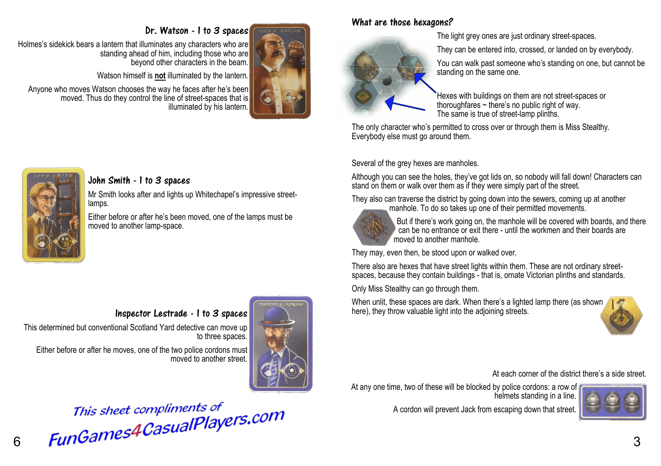#### Dr. Watson - 1 to 3 spaces

Mr Smith looks after and lights up Whitechapel's impressive street-

Either before or after he's been moved, one of the lamps must be

Holmes's sidekick bears a lantern that illuminates any characters who are standing ahead of him, including those who are beyond other characters in the beam.

Watson himself is **not** illuminated by the lantern.

Anyone who moves Watson chooses the way he faces after he's been moved. Thus do they control the line of street-spaces that is illuminated by his lantern.

John Smith - 1 to 3 spaces

moved to another lamp-space.

lamps.



# What are those hexagons?

The light grey ones are just ordinary street-spaces.

They can be entered into, crossed, or landed on by everybody.

You can walk past someone who's standing on one, but cannot be standing on the same one.

Hexes with buildings on them are not street-spaces or thoroughfares ~ there's no public right of way. The same is true of street-lamp plinths.

The only character who's permitted to cross over or through them is Miss Stealthy. Everybody else must go around them.

Several of the grey hexes are manholes.

Although you can see the holes, they've got lids on, so nobody will fall down! Characters can stand on them or walk over them as if they were simply part of the street.

They also can traverse the district by going down into the sewers, coming up at another manhole. To do so takes up one of their permitted movements.



But if there's work going on, the manhole will be covered with boards, and there can be no entrance or exit there - until the workmen and their boards are moved to another manhole.

They may, even then, be stood upon or walked over.

There also are hexes that have street lights within them. These are not ordinary streetspaces, because they contain buildings - that is, ornate Victorian plinths and standards.

Only Miss Stealthy can go through them.

When unlit, these spaces are dark. When there's a lighted lamp there (as shown here), they throw valuable light into the adjoining streets.



At each corner of the district there's a side street.

At any one time, two of these will be blocked by police cordons: a row of helmets standing in a line.



A cordon will prevent Jack from escaping down that street.



Inspector Lestrade - 1 to 3 spaces

This determined but conventional Scotland Yard detective can move up to three spaces.

Either before or after he moves, one of the two police cordons must moved to another street.



This sheet compliments of<br>
6 **FunGames4CasualPlayers.com**<br>
3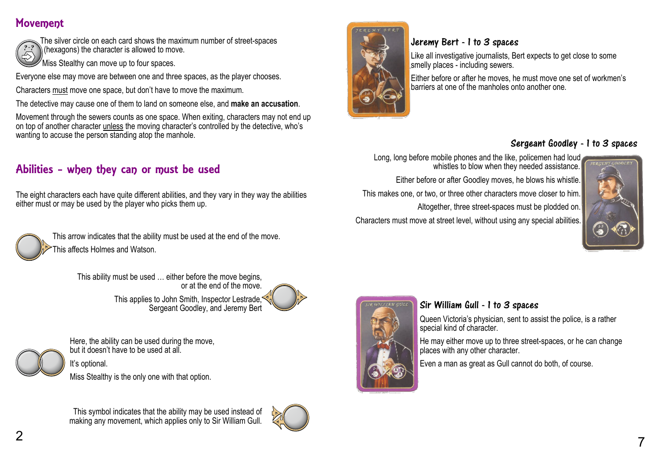# Movement



The silver circle on each card shows the maximum number of street-spaces  $\hat{a}$  (hexagons) the character is allowed to move

 $\mathrm{W}$ Miss Stealthy can move up to four spaces.

Everyone else may move are between one and three spaces, as the player chooses.

Characters must move one space, but don't have to move the maximum.

The detective may cause one of them to land on someone else, and **make an accusation**.

Movement through the sewers counts as one space. When exiting, characters may not end up on top of another character unless the moving character's controlled by the detective, who's wanting to accuse the person standing atop the manhole.

# Abilities - when they can or must be used

The eight characters each have quite different abilities, and they vary in they way the abilities either must or may be used by the player who picks them up.



This arrow indicates that the ability must be used at the end of the move. This affects Holmes and Watson.

> This ability must be used … either before the move begins, or at the end of the move. This applies to John Smith, Inspector Lestrade. Sergeant Goodley, and Jeremy Bert



It's optional. Miss Stealthy is the only one with that option.

Here, the ability can be used during the move, but it doesn't have to be used at all.

This symbol indicates that the ability may be used instead of making any movement, which applies only to Sir William Gull.





# Jeremy Bert - 1 to 3 spaces

Like all investigative journalists, Bert expects to get close to some smelly places - including sewers.

Either before or after he moves, he must move one set of workmen's barriers at one of the manholes onto another one.

# Sergeant Goodley - 1 to 3 spaces

Long, long before mobile phones and the like, policemen had loud whistles to blow when they needed assistance. Either before or after Goodley moves, he blows his whistle. This makes one, or two, or three other characters move closer to him. Altogether, three street-spaces must be plodded on.

Characters must move at street level, without using any special abilities.





# Sir William Gull - 1 to 3 spaces

Queen Victoria's physician, sent to assist the police, is a rather special kind of character.

He may either move up to three street-spaces, or he can change places with any other character.

Even a man as great as Gull cannot do both, of course.